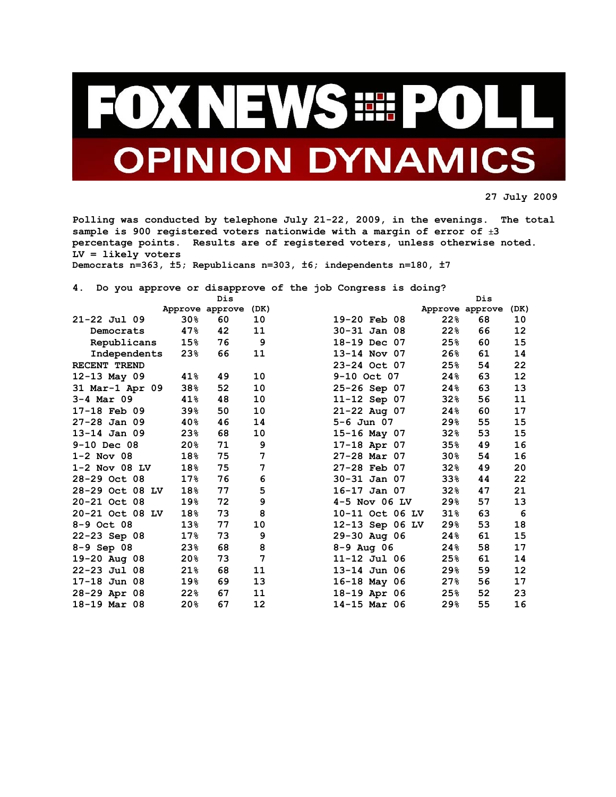

**27 July 2009** 

**Polling was conducted by telephone July 21-22, 2009, in the evenings. The total sample is 900 registered voters nationwide with a margin of error of** ±**3 percentage points. Results are of registered voters, unless otherwise noted. LV = likely voters** 

**Democrats n=363, ±5; Republicans n=303, ±6; independents n=180, ±7** 

**4. Do you approve or disapprove of the job Congress is doing?** 

|                  |                 | Dis             |      |                  |                 | Dis |      |
|------------------|-----------------|-----------------|------|------------------|-----------------|-----|------|
|                  |                 | Approve approve | (DK) |                  | Approve approve |     | (DK) |
| $21 - 22$ Jul 09 | 30 <sub>8</sub> | 60              | 10   | 19-20 Feb 08     | 22%             | 68  | 10   |
| Democrats        | 47%             | 42              | 11   | $30 - 31$ Jan 08 | 22%             | 66  | 12   |
| Republicans      | 15%             | 76              | 9    | 18-19 Dec 07     | 25%             | 60  | 15   |
| Independents     | 23%             | 66              | 11   | 13-14 Nov 07     | 26%             | 61  | 14   |
| RECENT TREND     |                 |                 |      | 23-24 Oct 07     | 25%             | 54  | 22   |
| 12-13 May 09     | 41%             | 49              | 10   | 9-10 Oct 07      | 24%             | 63  | 12   |
| 31 Mar-1 Apr 09  | 38%             | 52              | 10   | 25-26 Sep 07     | 24%             | 63  | 13   |
| $3 - 4$ Mar 09   | 41%             | 48              | 10   | 11-12 Sep 07     | 32%             | 56  | 11   |
| 17-18 Feb 09     | 39%             | 50              | 10   | $21 - 22$ Aug 07 | 24%             | 60  | 17   |
| $27-28$ Jan 09   | 40%             | 46              | 14   | $5 - 6$ Jun 07   | 29%             | 55  | 15   |
| $13-14$ Jan 09   | 23%             | 68              | 10   | $15 - 16$ May 07 | 32%             | 53  | 15   |
| $9-10$ Dec 08    | 20 <sub>8</sub> | 71              | 9    | 17-18 Apr 07     | 35%             | 49  | 16   |
| $1-2$ Nov 08     | 18%             | 75              | 7    | $27-28$ Mar 07   | 30%             | 54  | 16   |
| $1-2$ Nov 08 LV  | 18%             | 75              | 7    | $27-28$ Feb 07   | 32%             | 49  | 20   |
| 28-29 Oct 08     | $17\%$          | 76              | 6    | $30 - 31$ Jan 07 | 33 <sub>8</sub> | 44  | 22   |
| 28-29 Oct 08 LV  | 18%             | 77              | 5    | $16-17$ Jan 07   | 32%             | 47  | 21   |
| 20-21 Oct 08     | 19%             | 72              | 9    | $4-5$ Nov 06 LV  | 29%             | 57  | 13   |
| 20-21 Oct 08 LV  | 18%             | 73              | 8    | 10-11 Oct 06 LV  | 31%             | 63  | 6    |
| $8 - 9$ Oct 08   | $13\%$          | 77              | 10   | 12-13 Sep 06 LV  | 29%             | 53  | 18   |
| 22-23 Sep 08     | $17\%$          | 73              | 9    | 29-30 Aug 06     | 24%             | 61  | 15   |
| 8-9 Sep 08       | 23%             | 68              | 8    | $8 - 9$ Aug 06   | 24%             | 58  | 17   |
| 19-20 Aug 08     | 20%             | 73              | 7    | $11 - 12$ Jul 06 | 25%             | 61  | 14   |
| $22 - 23$ Jul 08 | 21%             | 68              | 11   | 13-14 Jun 06     | 29%             | 59  | 12   |
| $17-18$ Jun 08   | 19%             | 69              | 13   | 16-18 May 06     | 27%             | 56  | 17   |
| 28-29 Apr 08     | 22%             | 67              | 11   | 18-19 Apr 06     | 25%             | 52  | 23   |
| 18-19 Mar 08     | 20%             | 67              | 12   | 14-15 Mar 06     | 29%             | 55  | 16   |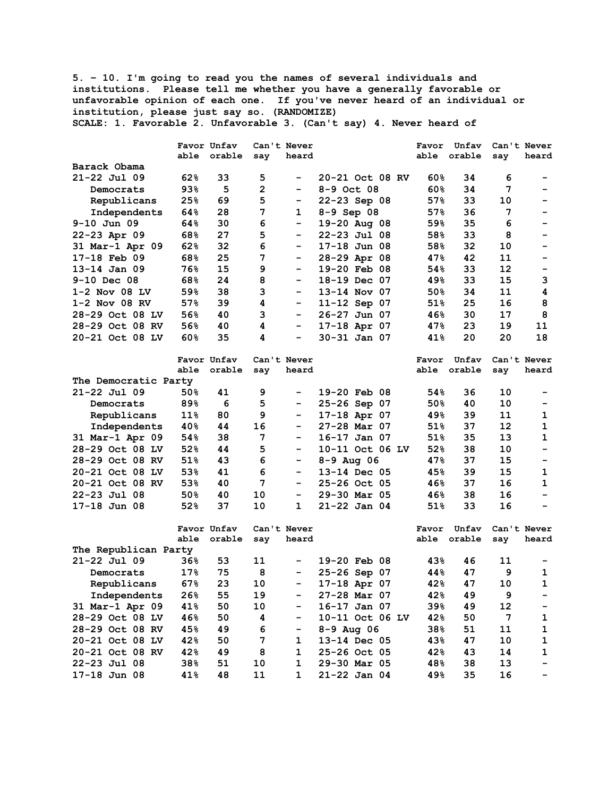**5. – 10. I'm going to read you the names of several individuals and institutions. Please tell me whether you have a generally favorable or unfavorable opinion of each one. If you've never heard of an individual or institution, please just say so. (RANDOMIZE) SCALE: 1. Favorable 2. Unfavorable 3. (Can't say) 4. Never heard of** 

|                      |        | Favor Unfav |     | Can't Never |                  |  | Favor  | Unfav       |                | Can't Never              |
|----------------------|--------|-------------|-----|-------------|------------------|--|--------|-------------|----------------|--------------------------|
|                      |        | able orable | say | heard       |                  |  | able   | orable      | say            | heard                    |
| Barack Obama         |        |             |     |             |                  |  |        |             |                |                          |
| 21-22 Jul 09         | 62%    | 33          | 5   |             | 20-21 Oct 08 RV  |  | 60%    | 34          | 6              |                          |
| Democrats            | 93%    | 5           | 2   |             | $8 - 9$ Oct 08   |  | 60%    | 34          | 7              | -                        |
| Republicans          | 25%    | 69          | 5   |             | 22-23 Sep 08     |  | 57%    | 33          | 10             | -                        |
| Independents         | 64%    | 28          | 7   | 1           | $8 - 9$ Sep 08   |  | 57%    | 36          | 7              | -                        |
| $9-10$ Jun 09        | 64%    | 30          | 6   | Ξ.          | 19-20 Aug 08     |  | 59%    | 35          | 6              | -                        |
| $22 - 23$ Apr 09     | 68%    | 27          | 5   |             | $22 - 23$ Jul 08 |  | 58%    | 33          | 8              |                          |
| 31 Mar-1 Apr 09      | 62%    | 32          | 6   | -           | $17-18$ Jun 08   |  | 58%    | 32          | 10             |                          |
| 17-18 Feb 09         | 68%    | 25          | 7   |             | 28-29 Apr 08     |  | 47%    | 42          | 11             | -                        |
| $13 - 14$ Jan 09     | 76%    | 15          | 9   | -           | 19-20 Feb 08     |  | 54%    | 33          | 12             | -                        |
|                      |        |             |     |             |                  |  |        |             |                |                          |
| $9-10$ Dec 08        | 68%    | 24          | 8   |             | 18-19 Dec 07     |  | 49%    | 33          | 15             | 3                        |
| $1-2$ Nov 08 LV      | 59%    | 38          | 3   | -           | 13-14 Nov 07     |  | 50%    | 34          | 11             | 4                        |
| $1-2$ Nov 08 RV      | 57%    | 39          | 4   | -           | $11 - 12$ Sep 07 |  | 51%    | 25          | 16             | 8                        |
| 28-29 Oct 08 LV      | 56%    | 40          | 3   | ۰.          | 26-27 Jun 07     |  | 46%    | 30          | 17             | 8                        |
| 28-29 Oct 08 RV      | 56%    | 40          | 4   | Ξ.          | 17-18 Apr 07     |  | 47%    | 23          | 19             | 11                       |
| 20-21 Oct 08 LV      | 60%    | 35          | 4   | -           | 30-31 Jan 07     |  | 41%    | 20          | 20             | 18                       |
|                      |        | Favor Unfav |     | Can't Never |                  |  | Favor  | Unfav       |                | Can't Never              |
|                      |        | able orable | say | heard       |                  |  |        | able orable | say            | heard                    |
| The Democratic Party |        |             |     |             |                  |  |        |             |                |                          |
| $21 - 22$ Jul 09     | 50%    | 41          | 9   | Ξ.          | 19-20 Feb 08     |  | 54%    | 36          | 10             |                          |
| Democrats            | 89%    | 6           | 5   |             | 25-26 Sep 07     |  | 50%    | 40          | 10             |                          |
| Republicans          | $11\%$ | 80          | 9   |             | $17-18$ Apr 07   |  | 49%    | 39          | 11             | 1                        |
| Independents         | 40%    | 44          | 16  | -           | $27-28$ Mar 07   |  | 51%    | 37          | 12             | $\mathbf{1}$             |
| 31 Mar-1 Apr 09      | 54%    | 38          | 7   |             | $16-17$ Jan 07   |  | $51\%$ | 35          | 13             | $\mathbf{1}$             |
| 28-29 Oct 08 LV      | 52%    | 44          | 5   |             | 10-11 Oct 06 LV  |  | 52%    | 38          | 10             | $\overline{\phantom{0}}$ |
| 28-29 Oct 08 RV      | 51%    | 43          | 6   | -           | $8 - 9$ Aug 06   |  | 47%    | 37          | 15             | $\overline{\phantom{0}}$ |
| 20-21 Oct 08 LV      | 53%    | 41          | 6   | Ξ.          | 13-14 Dec 05     |  | 45%    | 39          | 15             | 1                        |
| 20-21 Oct 08 RV      | 53%    | 40          | 7   | Ξ.          | 25-26 Oct 05     |  | 46%    | 37          | 16             | 1                        |
| $22 - 23$ Jul 08     | 50%    | 40          | 10  | ۰.          | 29-30 Mar 05     |  | 46%    | 38          | 16             | -                        |
|                      |        |             |     |             |                  |  |        |             |                |                          |
| 17-18 Jun 08         | 52%    | 37          | 10  | 1           | $21 - 22$ Jan 04 |  | 51%    | 33          | 16             |                          |
|                      |        | Favor Unfav |     | Can't Never |                  |  | Favor  | Unfav       |                | Can't Never              |
|                      |        | able orable | say | heard       |                  |  |        | able orable | say            | heard                    |
| The Republican Party |        |             |     |             |                  |  |        |             |                |                          |
| 21-22 Jul 09         | 36%    | 53          | 11  |             | 19-20 Feb 08     |  | 43%    | 46          | 11             |                          |
| Democrats            | $17\%$ | 75          | 8   |             | 25-26 Sep 07     |  | 44%    | 47          | 9              | 1                        |
| Republicans          | 67%    | 23          | 10  | -           | 17-18 Apr 07     |  | 42%    | 47          | 10             | $\mathbf{1}$             |
| Independents         | 26%    | 55          | 19  |             | 27-28 Mar 07     |  | 42%    | 49          | $\overline{9}$ |                          |
| 31 Mar-1 Apr 09      | 41%    | 50          | 10  |             | 16-17 Jan 07     |  | 39%    | 49          | 12             |                          |
| 28-29 Oct 08 LV      | 46%    | 50          | 4   |             | 10-11 Oct 06 LV  |  | 42%    | 50          | 7              | $\mathbf 1$              |
| 28-29 Oct 08 RV      | 45%    | 49          | 6   | -           | $8 - 9$ Aug 06   |  | 38%    | 51          | 11             | $\mathbf{1}$             |
| 20-21 Oct 08 LV      | 42%    | 50          | 7   | 1           | 13-14 Dec 05     |  | 43%    | 47          | 10             | 1                        |
| 20-21 Oct 08 RV      | 42%    | 49          | 8   | 1           | 25-26 Oct 05     |  | 42%    | 43          | 14             | 1                        |
| 22-23 Jul 08         | 38%    | 51          | 10  | 1           | 29-30 Mar 05     |  | 48%    | 38          | 13             |                          |
| 17-18 Jun 08         | 41%    | 48          | 11  | 1           | 21-22 Jan 04     |  | 49%    | 35          | 16             |                          |
|                      |        |             |     |             |                  |  |        |             |                |                          |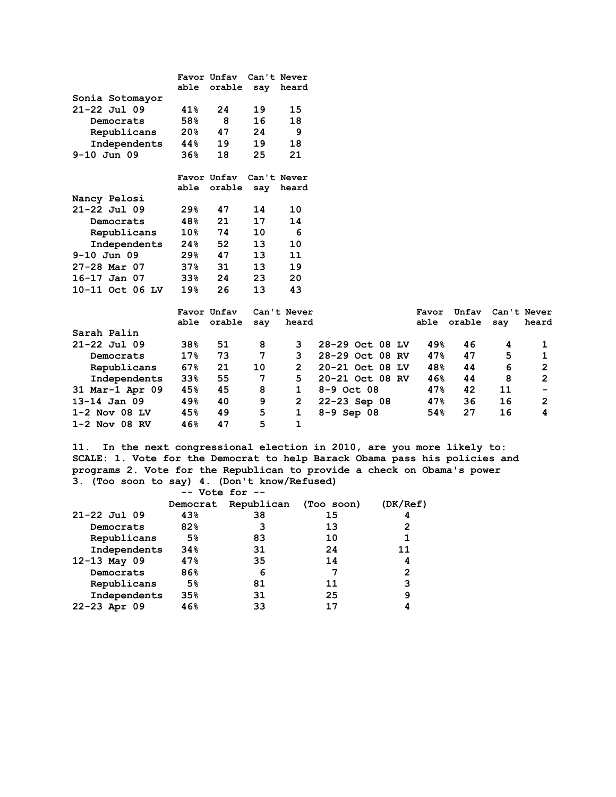|                 |                          | Favor Unfav | Can't Never |       |
|-----------------|--------------------------|-------------|-------------|-------|
|                 | able                     | orable      | say         | heard |
| Sonia Sotomayor |                          |             |             |       |
| 21-22 Jul 09    | 41%                      | 24          | 19          | 15    |
| Democrats       | 58%                      | 8           | 16          | 18    |
| Republicans     | 20%                      | 47          | 24          | 9     |
| Independents    | 44%                      | 19          | 19          | 18    |
| $9-10$ Jun 09   | 36%                      | 18          | 25          | 21    |
|                 |                          |             |             |       |
|                 |                          | Favor Unfav | Can't Never |       |
|                 | able                     | orable      | say         | heard |
| Nancy Pelosi    |                          |             |             |       |
| 21-22 Jul 09    | 29%                      | 47          | 14          | 10    |
| Democrats       | 48%                      | 21          | 17          | 14    |
| Republicans     | $10\mathrm{\textdegree}$ | 74          | 10          | 6     |
| Independents    | 24%                      | 52          | 13          | 10    |
| 9-10 Jun 09     | 29%                      | 47          | 13          | 11    |
| 27-28 Mar 07    | $37\%$                   | 31          | 13          | 19    |
| 16-17 Jan 07    | 33%                      | 24          | 23          | 20    |
| 10-11 Oct 06 LV | 19%                      | 26          | 13          | 43    |

|                  | able            | Favor Unfav<br>orable | say | Can't Never<br>heard |                  | Favor<br>able | Unfav<br>orable | Can't Never<br>heard<br>say |
|------------------|-----------------|-----------------------|-----|----------------------|------------------|---------------|-----------------|-----------------------------|
| Sarah Palin      |                 |                       |     |                      |                  |               |                 |                             |
| $21 - 22$ Jul 09 | 38 <sub>8</sub> | 51                    | 8   | 3.                   | 28-29 Oct 08 LV  | 49%           | 46              | 4                           |
| Democrats        | 17 <sub>8</sub> | 73                    | 7   | 3.                   | 28-29 Oct 08 RV  | 47%           | 47              | 5                           |
| Republicans      | 67%             | 21                    | 10  | 2                    | 20-21 Oct 08 LV  | 48%           | 44              | 6<br>$\overline{2}$         |
| Independents     | 33 <sub>8</sub> | 55                    | 7   | 5.                   | 20-21 Oct 08 RV  | 46%           | 44              | 8<br>$\overline{2}$         |
| 31 Mar-1 Apr 09  | 45%             | 45                    | 8   |                      | $8 - 9$ Oct 08   | 47%           | 42              | 11                          |
| $13 - 14$ Jan 09 | 49%             | 40                    | 9   | 2                    | $22 - 23$ Sep 08 | 47%           | 36              | 16<br>2                     |
| $1-2$ Nov 08 LV  | 45%             | 49                    | 5   |                      | $8 - 9$ Sep 08   | 54%           | 27              | 16<br>4                     |
| $1-2$ Nov 08 RV  | 46%             | 47                    | 5   | 1                    |                  |               |                 |                             |

**11. In the next congressional election in 2010, are you more likely to: SCALE: 1. Vote for the Democrat to help Barack Obama pass his policies and programs 2. Vote for the Republican to provide a check on Obama's power 3. (Too soon to say) 4. (Don't know/Refused)** 

|                  | $--$ Vote for $--$ |                       |    |          |
|------------------|--------------------|-----------------------|----|----------|
|                  | Democrat           | Republican (Too soon) |    | (DK/Ref) |
| $21 - 22$ Jul 09 | 43%                | 38                    | 15 | 4        |
| Democrats        | 82%                | 3                     | 13 | 2        |
| Republicans      | 5%                 | 83                    | 10 |          |
| Independents     | 34%                | 31                    | 24 | 11       |
| $12 - 13$ May 09 | 47%                | 35                    | 14 | 4        |
| Democrats        | 86%                | 6                     | 7  | 2        |
| Republicans      | 5 <sup>°</sup>     | 81                    | 11 | 3        |
| Independents     | 35%                | 31                    | 25 | 9        |
| $22 - 23$ Apr 09 | 46%                | 33                    | 17 |          |
|                  |                    |                       |    |          |